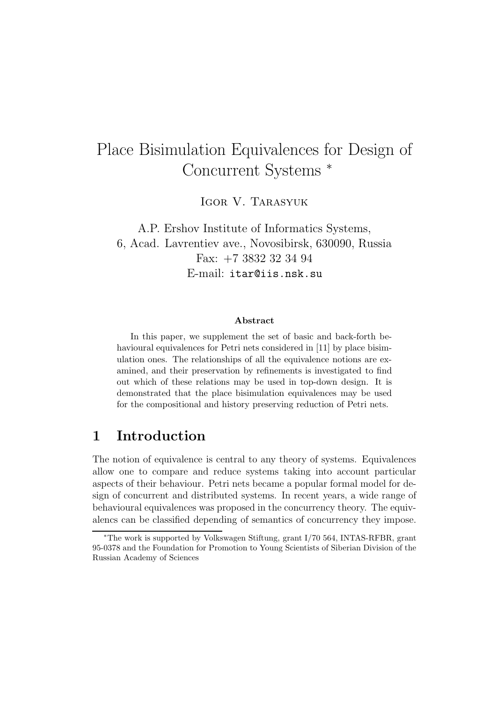# Place Bisimulation Equivalences for Design of Concurrent Systems <sup>∗</sup>

IGOR V. TARASYUK

A.P. Ershov Institute of Informatics Systems, 6, Acad. Lavrentiev ave., Novosibirsk, 630090, Russia Fax: +7 3832 32 34 94 E-mail: itar@iis.nsk.su

#### Abstract

In this paper, we supplement the set of basic and back-forth behavioural equivalences for Petri nets considered in [11] by place bisimulation ones. The relationships of all the equivalence notions are examined, and their preservation by refinements is investigated to find out which of these relations may be used in top-down design. It is demonstrated that the place bisimulation equivalences may be used for the compositional and history preserving reduction of Petri nets.

# 1 Introduction

The notion of equivalence is central to any theory of systems. Equivalences allow one to compare and reduce systems taking into account particular aspects of their behaviour. Petri nets became a popular formal model for design of concurrent and distributed systems. In recent years, a wide range of behavioural equivalences was proposed in the concurrency theory. The equivalencs can be classified depending of semantics of concurrency they impose.

<sup>∗</sup>The work is supported by Volkswagen Stiftung, grant I/70 564, INTAS-RFBR, grant 95-0378 and the Foundation for Promotion to Young Scientists of Siberian Division of the Russian Academy of Sciences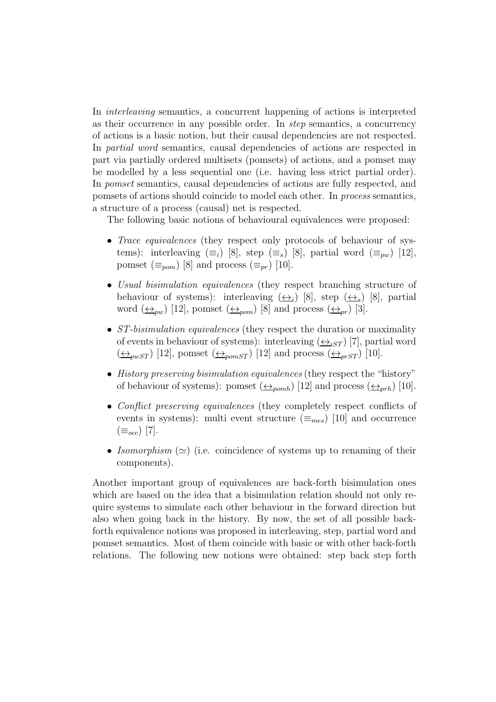In *interleaving* semantics, a concurrent happening of actions is interpreted as their occurrence in any possible order. In *step* semantics, a concurrency of actions is a basic notion, but their causal dependencies are not respected. In *partial word* semantics, causal dependencies of actions are respected in part via partially ordered multisets (pomsets) of actions, and a pomset may be modelled by a less sequential one (i.e. having less strict partial order). In *pomset* semantics, causal dependencies of actions are fully respected, and pomsets of actions should coincide to model each other. In *process* semantics, a structure of a process (causal) net is respected.

The following basic notions of behavioural equivalences were proposed:

- *Trace equivalences* (they respect only protocols of behaviour of systems): interleaving  $(\equiv_i)$  [8], step  $(\equiv_s)$  [8], partial word  $(\equiv_{vw})$  [12], pomset  $(\equiv_{pom})$  [8] and process  $(\equiv_{pr})$  [10].
- *Usual bisimulation equivalences* (they respect branching structure of behaviour of systems): interleaving  $(\underline{\leftrightarrow}_i)$  [8], step  $(\underline{\leftrightarrow}_s)$  [8], partial word  $(\underline{\leftrightarrow}_{pw})$  [12], pomset  $(\underline{\leftrightarrow}_{pom})$  [8] and process  $(\underline{\leftrightarrow}_{pr})$  [3].
- *ST-bisimulation equivalences* (they respect the duration or maximality of events in behaviour of systems): interleaving  $(\leftrightarrow_{iST})$  [7], partial word  $(\underline{\leftrightarrow}_{pwST})$  [12], pomset  $(\underline{\leftrightarrow}_{pomsT})$  [12] and process  $(\underline{\leftrightarrow}_{prST})$  [10].
- *History preserving bisimulation equivalences* (they respect the "history" of behaviour of systems): pomset  $(\triangle_{pomb})$  [12] and process  $(\triangle_{prh})$  [10].
- *Conflict preserving equivalences* (they completely respect conflicts of events in systems): multi event structure  $(\equiv_{mes})$  [10] and occurrence  $(\equiv_{occ})$  [7].
- *Isomorphism* (≃) (i.e. coincidence of systems up to renaming of their components).

Another important group of equivalences are back-forth bisimulation ones which are based on the idea that a bisimulation relation should not only require systems to simulate each other behaviour in the forward direction but also when going back in the history. By now, the set of all possible backforth equivalence notions was proposed in interleaving, step, partial word and pomset semantics. Most of them coincide with basic or with other back-forth relations. The following new notions were obtained: step back step forth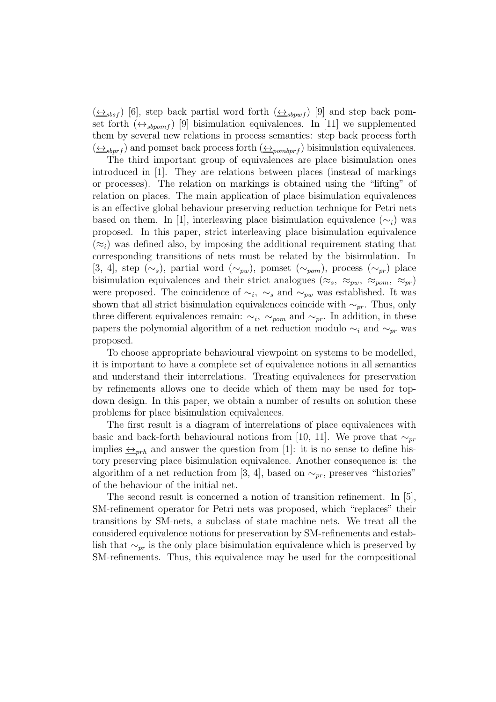$(\leftrightarrow_{sbsf})$  [6], step back partial word forth  $(\leftrightarrow_{sbpwf})$  [9] and step back pomset forth  $(\triangle_{sbpomf})$  [9] bisimulation equivalences. In [11] we supplemented them by several new relations in process semantics: step back process forth  $(\leftrightarrow_{sbprf})$  and pomset back process forth  $(\leftrightarrow_{pombprf})$  bisimulation equivalences.

The third important group of equivalences are place bisimulation ones introduced in [1]. They are relations between places (instead of markings or processes). The relation on markings is obtained using the "lifting" of relation on places. The main application of place bisimulation equivalences is an effective global behaviour preserving reduction technique for Petri nets based on them. In [1], interleaving place bisimulation equivalence  $(\sim_i)$  was proposed. In this paper, strict interleaving place bisimulation equivalence  $(\approx_i)$  was defined also, by imposing the additional requirement stating that corresponding transitions of nets must be related by the bisimulation. In [3, 4], step  $(\sim_s)$ , partial word  $(\sim_{pw})$ , pomset  $(\sim_{pom})$ , process  $(\sim_{pr})$  place bisimulation equivalences and their strict analogues ( $\approx_s$ ,  $\approx_{pw}$ ,  $\approx_{pom}$ ,  $\approx_{pr}$ ) were proposed. The coincidence of  $\sim_i$ ,  $\sim_s$  and  $\sim_{pw}$  was established. It was shown that all strict bisimulation equivalences coincide with  $\sim_{pr}$ . Thus, only three different equivalences remain:  $\sim_i$ ,  $\sim_{p_0}$  and  $\sim_{pr}$ . In addition, in these papers the polynomial algorithm of a net reduction modulo  $\sim_i$  and  $\sim_{pr}$  was proposed.

To choose appropriate behavioural viewpoint on systems to be modelled, it is important to have a complete set of equivalence notions in all semantics and understand their interrelations. Treating equivalences for preservation by refinements allows one to decide which of them may be used for topdown design. In this paper, we obtain a number of results on solution these problems for place bisimulation equivalences.

The first result is a diagram of interrelations of place equivalences with basic and back-forth behavioural notions from [10, 11]. We prove that  $\sim_{pr}$ implies  $\leftrightarrow_{prh}$  and answer the question from [1]: it is no sense to define history preserving place bisimulation equivalence. Another consequence is: the algorithm of a net reduction from [3, 4], based on  $\sim_{pr}$ , preserves "histories" of the behaviour of the initial net.

The second result is concerned a notion of transition refinement. In [5], SM-refinement operator for Petri nets was proposed, which "replaces" their transitions by SM-nets, a subclass of state machine nets. We treat all the considered equivalence notions for preservation by SM-refinements and establish that  $\sim_{pr}$  is the only place bisimulation equivalence which is preserved by SM-refinements. Thus, this equivalence may be used for the compositional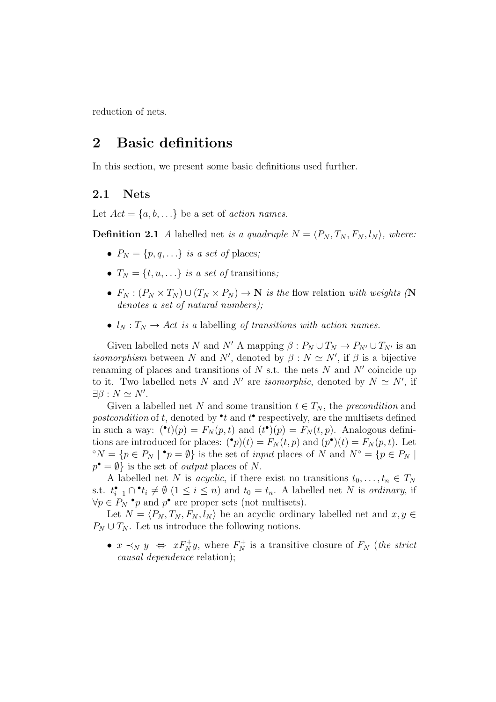reduction of nets.

### 2 Basic definitions

In this section, we present some basic definitions used further.

#### 2.1 Nets

Let  $Act = \{a, b, \ldots\}$  be a set of *action names*.

**Definition 2.1** *A* labelled net *is a quadruple*  $N = \langle P_N, T_N, F_N, l_N \rangle$ , where:

- $P_N = \{p, q, \ldots\}$  *is a set of places;*
- $T_N = \{t, u, \ldots\}$  *is a set of* transitions;
- $F_N: (P_N \times T_N) \cup (T_N \times P_N) \to \mathbb{N}$  *is the flow relation with weights (*N *denotes a set of natural numbers);*
- $l_N : T_N \to Act$  *is a* labelling *of transitions with action names.*

Given labelled nets N and N' A mapping  $\beta: P_N \cup T_N \to P_{N'} \cup T_{N'}$  is an *isomorphism* between N and N', denoted by  $\beta : N \simeq N'$ , if  $\beta$  is a bijective renaming of places and transitions of  $N$  s.t. the nets  $N$  and  $N'$  coincide up to it. Two labelled nets N and N' are *isomorphic*, denoted by  $N \simeq N'$ , if  $\exists \beta : N \simeq N'.$ 

Given a labelled net N and some transition  $t \in T_N$ , the *precondition* and postcondition of t, denoted by  $\cdot t$  and  $t$ <sup> $\cdot$ </sup> respectively, are the multisets defined in such a way:  $(\bullet t)(p) = F_N(p, t)$  and  $(t^{\bullet})(p) = F_N(t, p)$ . Analogous definitions are introduced for places:  $(\bullet p)(t) = F_N(t, p)$  and  $(p^{\bullet})(t) = F_N(p, t)$ . Let  $\mathbb{P}^{\circ}N = \{p \in P_N \mid \bullet p = \emptyset\}$  is the set of *input* places of N and  $N^{\circ} = \{p \in P_N \mid \bullet p = \emptyset\}$  $p^{\bullet} = \emptyset$  is the set of *output* places of N.

A labelled net N is *acyclic*, if there exist no transitions  $t_0, \ldots, t_n \in T_N$ s.t.  $t_{i-1}^{\bullet} \cap \bullet t_i \neq \emptyset$   $(1 \leq i \leq n)$  and  $t_0 = t_n$ . A labelled net N is *ordinary*, if  $\forall p \in P_N$  • p and  $p^{\bullet}$  are proper sets (not multisets).

Let  $N = \langle P_N, T_N, F_N, l_N \rangle$  be an acyclic ordinary labelled net and  $x, y \in$  $P_N \cup T_N$ . Let us introduce the following notions.

•  $x \prec_N y \Leftrightarrow xF_N^+y$ , where  $F_N^+$  is a transitive closure of  $F_N$  (*the strict causal dependence* relation);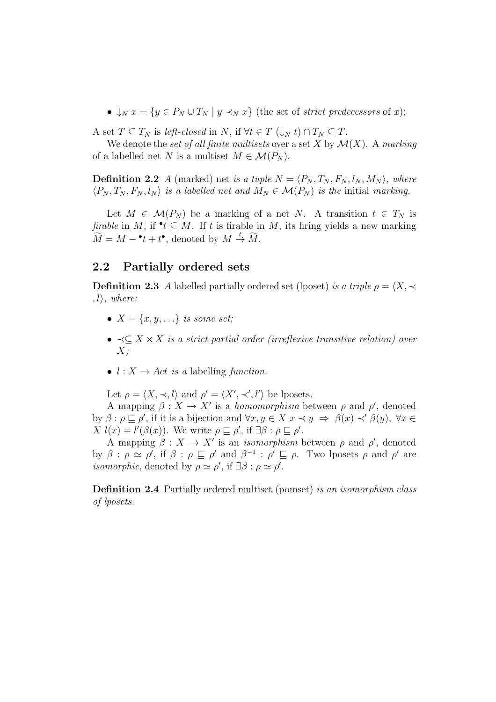•  $\downarrow_N x = \{y \in P_N \cup T_N \mid y \prec_N x\}$  (the set of *strict predecessors* of x);

A set  $T \subseteq T_N$  is *left-closed* in N, if  $\forall t \in T \ (\downarrow_N t) \cap T_N \subseteq T$ .

We denote the *set of all finite multisets* over a set  $X$  by  $\mathcal{M}(X)$ . A *marking* of a labelled net N is a multiset  $M \in \mathcal{M}(P_N)$ .

**Definition 2.2** *A* (marked) net *is a tuple*  $N = \langle P_N, T_N, F_N, l_N, M_N \rangle$ , where  $\langle P_N, T_N, F_N, l_N \rangle$  *is a labelled net and*  $M_N \in \mathcal{M}(P_N)$  *is the initial marking.* 

Let  $M \in \mathcal{M}(P_N)$  be a marking of a net N. A transition  $t \in T_N$  is *firable* in M, if  $\cdot t \subseteq M$ . If t is firable in M, its firing yields a new marking  $\widetilde{M} = M - \bullet t + t^{\bullet},$  denoted by  $M \stackrel{t}{\rightarrow} \widetilde{M}$ .

#### 2.2 Partially ordered sets

**Definition 2.3** *A* labelled partially ordered set (lposet) *is a triple*  $\rho = \langle X, \prec \rangle$  $, l$ *i*, where:

- $X = \{x, y, ...\}$  *is some set;*
- ≺⊆ X × X *is a strict partial order (irreflexive transitive relation) over* X*;*
- $l : X \rightarrow Act$  *is a* labelling *function*.

Let  $\rho = \langle X, \prec, l \rangle$  and  $\rho' = \langle X', \prec', l' \rangle$  be lposets.

A mapping  $\beta: X \to X'$  is a *homomorphism* between  $\rho$  and  $\rho'$ , denoted by  $\beta : \rho \sqsubseteq \rho'$ , if it is a bijection and  $\forall x, y \in X \ x \prec y \Rightarrow \beta(x) \prec' \beta(y)$ ,  $\forall x \in$ X  $l(x) = l'(\beta(x))$ . We write  $\rho \sqsubseteq \rho'$ , if  $\exists \beta : \rho \sqsubseteq \rho'$ .

A mapping  $\beta: X \to X'$  is an *isomorphism* between  $\rho$  and  $\rho'$ , denoted by  $\beta : \rho \simeq \rho'$ , if  $\beta : \rho \sqsubseteq \rho'$  and  $\beta^{-1} : \rho' \sqsubseteq \rho$ . Two lposets  $\rho$  and  $\rho'$  are *isomorphic*, denoted by  $\rho \simeq \rho'$ , if  $\exists \beta : \rho \simeq \rho'$ .

Definition 2.4 Partially ordered multiset (pomset) *is an isomorphism class of lposets.*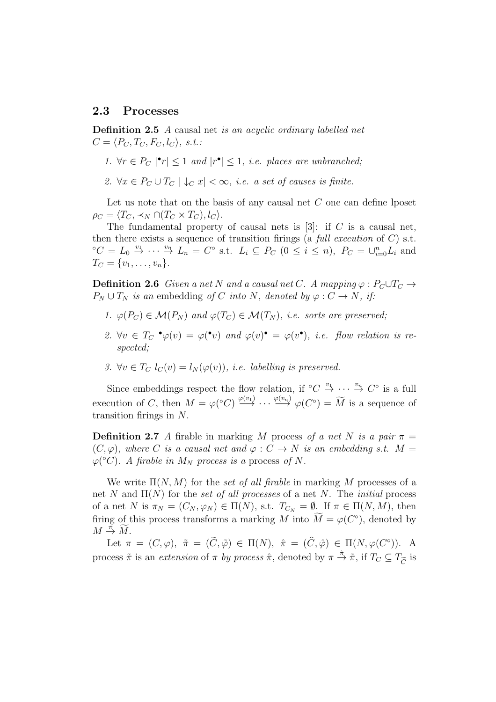#### 2.3 Processes

Definition 2.5 *A* causal net *is an acyclic ordinary labelled net*  $C = \langle P_C, T_C, F_C, l_C \rangle, s.t.$ 

- 1.  $\forall r \in P_C \mid \mathbf{r} \mid \leq 1$  *and*  $|r^{\bullet}| \leq 1$ , *i.e.* places are unbranched;
- 2.  $\forall x \in P_C \cup T_C \mid \downarrow_C x \mid \infty$ , *i.e. a set of causes is finite.*

Let us note that on the basis of any causal net  $C$  one can define lposet  $\rho_C = \langle T_C, \prec_N \bigcap (T_C \times T_C), l_C \rangle.$ 

The fundamental property of causal nets is  $[3]$ : if C is a causal net, then there exists a sequence of transition firings (a *full execution* of C) s.t.  ${}^{\circ}C = L_0 \stackrel{v_1}{\rightarrow} \cdots \stackrel{v_n}{\rightarrow} L_n = C^{\circ}$  s.t.  $L_i \subseteq P_C$   $(0 \leq i \leq n)$ ,  $P_C = \bigcup_{i=0}^n L_i$  and  $T_C = \{v_1, \ldots, v_n\}.$ 

**Definition 2.6** *Given a net* N *and a causal net* C. A mapping  $\varphi$  :  $P_C \cup T_C \rightarrow$  $P_N \cup T_N$  *is an* embedding *of* C *into* N, *denoted by*  $\varphi : C \to N$ , *if:* 

- *1.*  $\varphi(P_C) \in \mathcal{M}(P_N)$  and  $\varphi(T_C) \in \mathcal{M}(T_N)$ , *i.e.* sorts are preserved;
- 2.  $\forall v \in T_C \cdot \varphi(v) = \varphi(v)$  and  $\varphi(v) = \varphi(v^*)$ , *i.e.* flow relation is re*spected;*
- *3.*  $\forall v \in T_C$   $l_C(v) = l_N(\varphi(v))$ , *i.e. labelling is preserved.*

Since embeddings respect the flow relation, if  $\circ C \stackrel{v_1}{\to} \cdots \stackrel{v_n}{\to} C^{\circ}$  is a full execution of C, then  $M = \varphi({}^{\circ}C) \stackrel{\varphi(v_1)}{\longrightarrow} \cdots \stackrel{\varphi(v_n)}{\longrightarrow} \varphi(C^{\circ}) = \widetilde{M}$  is a sequence of transition firings in N.

**Definition 2.7** *A* firable in marking M process of a net N is a pair  $\pi$  =  $(C, \varphi)$ *, where* C *is a causal net and*  $\varphi : C \to N$  *is an embedding s.t.*  $M =$  $\varphi$ <sup>(°</sup>C). A firable in  $M_N$  process is a process of N.

We write  $\Pi(N, M)$  for the *set of all firable* in marking M processes of a net N and Π(N) for the *set of all processes* of a net N. The *initial* process of a net N is  $\pi_N = (C_N, \varphi_N) \in \Pi(N)$ , s.t.  $T_{C_N} = \emptyset$ . If  $\pi \in \Pi(N, M)$ , then firing of this process transforms a marking M into  $\tilde{M} = \varphi(C^{\circ})$ , denoted by  $M \stackrel{\tilde{\pi}}{\rightarrow} \widetilde{M}.$ 

Let  $\pi = (C, \varphi), \tilde{\pi} = (\tilde{C}, \tilde{\varphi}) \in \Pi(N), \hat{\pi} = (\tilde{C}, \hat{\varphi}) \in \Pi(N, \varphi(C^{\circ})).$  A process  $\tilde{\pi}$  is an *extension* of  $\pi$  *by process*  $\hat{\pi}$ , denoted by  $\pi \stackrel{\hat{\pi}}{\to} \tilde{\pi}$ , if  $T_C \subseteq T_{\widetilde{C}}$  is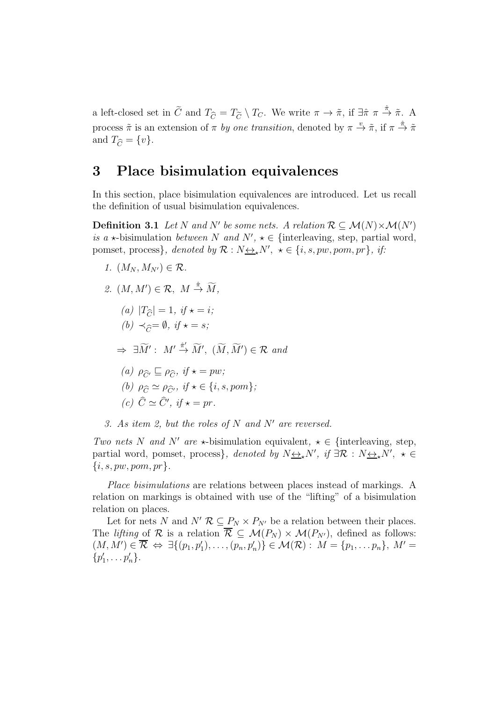a left-closed set in  $\tilde{C}$  and  $T_{\tilde{C}} = T_{\tilde{C}} \setminus T_C$ . We write  $\pi \to \tilde{\pi}$ , if  $\exists \hat{\pi} \pi \stackrel{\hat{\pi}}{\to} \tilde{\pi}$ . A process  $\tilde{\pi}$  is an extension of  $\pi$  *by one transition*, denoted by  $\pi \stackrel{v}{\to} \tilde{\pi}$ , if  $\pi \stackrel{\hat{\pi}}{\to} \tilde{\pi}$ and  $T_{\widehat{C}} = \{v\}.$ 

#### 3 Place bisimulation equivalences

In this section, place bisimulation equivalences are introduced. Let us recall the definition of usual bisimulation equivalences.

**Definition 3.1** Let N and N' be some nets. A relation  $\mathcal{R} \subseteq \mathcal{M}(N) \times \mathcal{M}(N')$ *is a*  $\star$ -bisimulation *between* N *and*  $N'$ ,  $\star \in$  {interleaving, step, partial word, pomset, process*}*, denoted by  $\mathcal{R}: N \rightarrow N'$ ,  $\star \in \{i, s, pw, pom, pr\}$ , if:

- *1.*  $(M_N, M_{N'}) \in \mathcal{R}$ . 2.  $(M, M') \in \mathcal{R}, M \stackrel{\hat{\pi}}{\rightarrow} \widetilde{M},$ *(a)*  $|T_{\hat{C}}| = 1$ *, if*  $\star = i$ *; (b)*  $\prec$ <sub>∂</sub>=  $\emptyset$ *, if*  $\star$  = *s;*  $\Rightarrow \exists \widetilde{M}' : M' \stackrel{\hat{\pi}'}{\rightarrow} \widetilde{M}'$ ,  $(\widetilde{M}, \widetilde{M}') \in \mathcal{R}$  and  $(a)$   $\rho_{\widehat{C}'} \sqsubseteq \rho_{\widehat{C}}$ ,  $if \star = pw;$ *(b)*  $\rho_{\widehat{C}} \simeq \rho_{\widehat{C}}$ *, if*  $\star \in \{i, s, pom\}$ *;*  $(c) \quad \hat{C} \simeq \hat{C}'$ , if  $\star = pr$ .
- *3. As item 2, but the roles of* N *and* N′ *are reversed.*

*Two nets* N *and* N' *are*  $\star$ -bisimulation equivalent,  $\star \in$  {interleaving, step, partial word, pomset, process*}*, *denoted by*  $N \leftrightarrow N'$ , *if*  $\exists \mathcal{R} : N \leftrightarrow N'$ ,  $\star \in$  $\{i, s, pw, pom, pr\}$ .

*Place bisimulations* are relations between places instead of markings. A relation on markings is obtained with use of the "lifting" of a bisimulation relation on places.

Let for nets N and  $N'$   $\mathcal{R} \subseteq P_N \times P_{N'}$  be a relation between their places. The *lifting* of R is a relation  $\overline{\mathcal{R}} \subseteq \mathcal{M}(P_N) \times \mathcal{M}(P_{N'})$ , defined as follows:  $(M, M') \in \overline{\mathcal{R}} \Leftrightarrow \exists \{(p_1, p'_1), \ldots, (p_n, p'_n)\} \in \mathcal{M}(\mathcal{R}) : M = \{p_1, \ldots p_n\}, M' =$  $\{p'_1, \ldots p'_n\}.$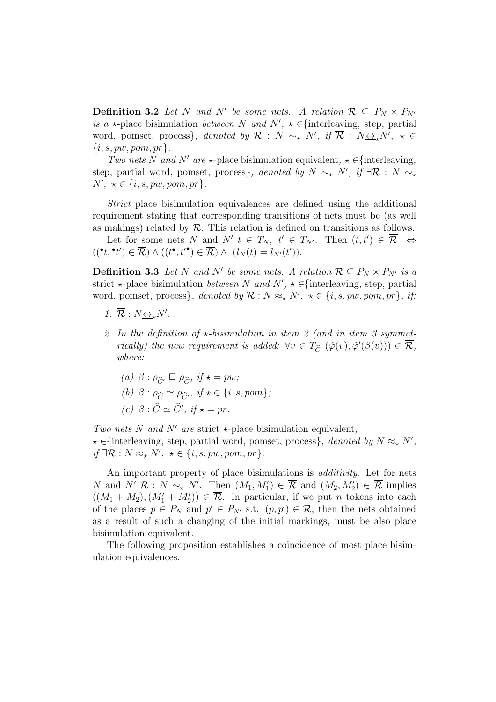**Definition 3.2** Let N and N' be some nets. A relation  $\mathcal{R} \subseteq P_N \times P_{N'}$ *is a*  $\star$ -place bisimulation *between* N and N',  $\star \in$ {interleaving, step, partial word, pomset, process*}*, *denoted by*  $\mathcal{R}$  :  $N \sim_{\star} N'$ , *if*  $\overline{\mathcal{R}}$  :  $N \underline{\leftrightarrow}_{\star} N'$ ,  $\star \in$  $\{i, s, pw, pom, pr\}$ .

*Two nets* N *and* N' *are*  $\star$ -place bisimulation equivalent,  $\star \in$ {interleaving, step, partial word, pomset, process*}*, *denoted by*  $N \sim_{\star} N'$ , *if*  $\exists \mathcal{R} : N \sim_{\star}$  $N', \star \in \{i, s, pw, pom, pr\}.$ 

*Strict* place bisimulation equivalences are defined using the additional requirement stating that corresponding transitions of nets must be (as well as makings) related by  $\overline{\mathcal{R}}$ . This relation is defined on transitions as follows.

Let for some nets N and N'  $t \in T_N$ ,  $t' \in T_{N'}$ . Then  $(t, t') \in \overline{\mathcal{R}} \iff$  $((^{\bullet}t, ^{\bullet}t') \in \overline{\mathcal{R}}) \wedge ((t^{\bullet}, t'^{\bullet}) \in \overline{\mathcal{R}}) \wedge (l_N(t) = l_{N'}(t')).$ 

**Definition 3.3** Let N and N' be some nets. A relation  $\mathcal{R} \subseteq P_N \times P_{N'}$  is a strict  $\star$ -place bisimulation *between* N and  $N'$ ,  $\star \in$ {interleaving, step, partial word, pomset, process*}*, denoted by  $\mathcal{R}: N \approx_{\star} N'$ ,  $\star \in \{i, s, pw, pom, pr\}$ , if:

- 1.  $\overline{\mathcal{R}} : N \underline{\leftrightarrow}_* N'$ .
- 2. In the definition of  $\star$ -bisimulation in item 2 (and in item 3 symmet*rically) the new requirement is added:*  $\forall v \in T_{\widehat{C}} (\widehat{\varphi}(v), \widehat{\varphi}'(\beta(v))) \in \overline{\mathcal{R}}$ , *where:*
	- $(a)$   $\beta : \rho_{\widehat{C}'} \sqsubseteq \rho_{\widehat{C}}$ ,  $if \star = pw;$  $(b)$   $\beta : \rho_{\widehat{C}} \simeq \rho_{\widehat{C}}$ *, if*  $\star \in \{i, s, pom\};$  $(c)$   $\beta$  :  $\widehat{C} \simeq \widehat{C}'$ , *if*  $\star = pr$ .

*Two nets* N *and* N' *are* strict  $\star$ -place bisimulation equivalent,  $\star \in$ {interleaving, step, partial word, pomset, process}, denoted by  $N \approx_{\star} N'$ ,  $if \exists \mathcal{R} : N \approx_{\star} N', \ \star \in \{i, s, pw, pom, pr\}.$ 

An important property of place bisimulations is *additivity*. Let for nets N and N' R : N  $\sim_{\star}$  N'. Then  $(M_1, M'_1) \in \overline{\mathcal{R}}$  and  $(M_2, M'_2) \in \overline{\mathcal{R}}$  implies  $((M_1 + M_2), (M'_1 + M'_2)) \in \overline{\mathcal{R}}$ . In particular, if we put *n* tokens into each of the places  $p \in P_N$  and  $p' \in P_{N'}$  s.t.  $(p, p') \in \mathcal{R}$ , then the nets obtained as a result of such a changing of the initial markings, must be also place bisimulation equivalent.

The following proposition establishes a coincidence of most place bisimulation equivalences.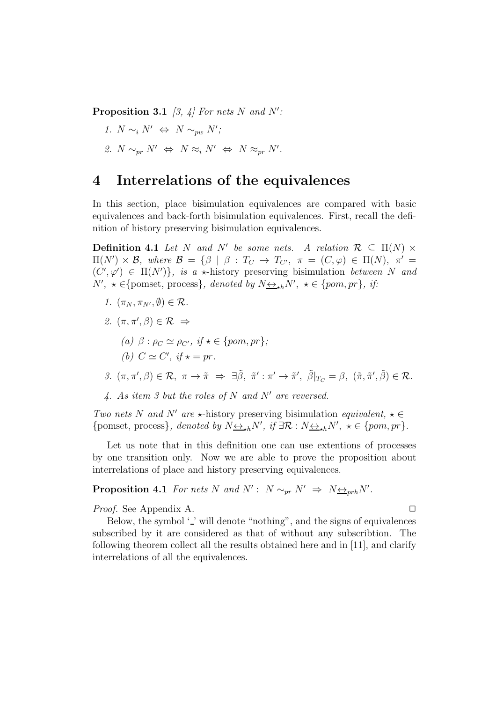Proposition 3.1 *[3, 4] For nets* N *and* N′ *:*

- *1.*  $N \sim_i N'$  ⇔  $N \sim_{pw} N'$ ;
- 2.  $N \sim_{pr} N' \Leftrightarrow N \approx_i N' \Leftrightarrow N \approx_{pr} N'.$

### 4 Interrelations of the equivalences

In this section, place bisimulation equivalences are compared with basic equivalences and back-forth bisimulation equivalences. First, recall the definition of history preserving bisimulation equivalences.

**Definition 4.1** Let N and N' be some nets. A relation  $\mathcal{R} \subseteq \Pi(N) \times$  $\Pi(N') \times \mathcal{B}$ , where  $\mathcal{B} = {\beta \mid \beta : T_C \rightarrow T_{C'}}, \pi = (C, \varphi) \in \Pi(N), \pi' =$  $(C', \varphi') \in \Pi(N')\},\$ is a  $\star$ -history preserving bisimulation *between* N and  $N', \star \in \{\text{pomset}, \text{process}\}, \text{ denoted by } N \underline{\leftrightarrow}_{\star h} N', \star \in \{\text{pom}, \text{pr}\}, \text{ if:}$ 

- *1.*  $(\pi_N, \pi_{N'}, \emptyset) \in \mathcal{R}$ .
- 2.  $(\pi, \pi', \beta) \in \mathcal{R} \Rightarrow$ 
	- $(a)$   $\beta$  :  $\rho_C \simeq \rho_{C'}$ , *if*  $\star \in \{pom, pr\}$ ; *(b)*  $C \simeq C'$ , if  $\star = pr$ .
- *3.*  $(\pi, \pi', \beta) \in \mathcal{R}, \ \pi \to \tilde{\pi} \Rightarrow \exists \tilde{\beta}, \ \tilde{\pi}' : \pi' \to \tilde{\pi}', \ \tilde{\beta}|_{T_C} = \beta, \ (\tilde{\pi}, \tilde{\pi}', \tilde{\beta}) \in \mathcal{R}.$
- *4. As item 3 but the roles of* N *and* N′ *are reversed.*

*Two nets* N *and* N' *are*  $\star$ -history preserving bisimulation *equivalent*,  $\star \in$ {pomset, process}, denoted by  $N \underline{\leftrightarrow}_{\star h} N'$ , if  $\exists \mathcal{R} : N \underline{\leftrightarrow}_{\star h} N'$ ,  $\star \in \{pom, pr\}$ .

Let us note that in this definition one can use extentions of processes by one transition only. Now we are able to prove the proposition about interrelations of place and history preserving equivalences.

**Proposition 4.1** *For nets* N and  $N'$ :  $N \sim_{pr} N' \Rightarrow N \leftrightarrow_{prh} N'$ .

*Proof.* See Appendix A. ◯

Below, the symbol  $\prime$  ' will denote "nothing", and the signs of equivalences subscribed by it are considered as that of without any subscribtion. The following theorem collect all the results obtained here and in [11], and clarify interrelations of all the equivalences.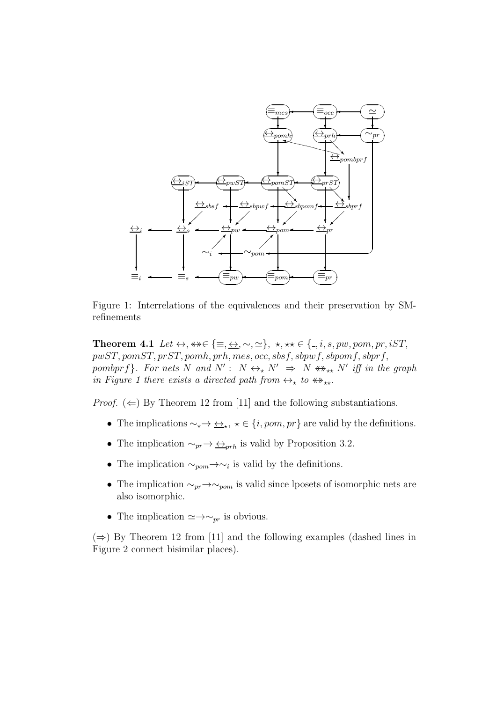

Figure 1: Interrelations of the equivalences and their preservation by SMrefinements

Theorem 4.1 *Let*  $\leftrightarrow$ ,  $\leftrightarrow \in \{\equiv, \leftrightarrow, \sim, \simeq\}$ ,  $\star$ ,  $\star \star \in \{., i, s, pw, pom, pr, iST,$ pwST, pomST, prST, pomh, prh, mes, occ, sbsf, sbpwf, sbpomf, sbprf, pombprf}. For nets N and  $N'$ :  $N \leftrightarrow_{\star} N' \Rightarrow N \leftrightarrow_{\star \star} N'$  iff in the graph *in Figure 1 there exists a directed path from*  $\leftrightarrow_{\star}$  *to*  $\leftrightarrow_{\star\star}$ *.* 

*Proof.*  $(\Leftarrow)$  By Theorem 12 from [11] and the following substantiations.

- The implications  $\sim_{\star} \to \leftrightarrow_{\star}$ ,  $\star \in \{i, pom, pr\}$  are valid by the definitions.
- The implication  $\sim_{pr} \rightarrow \underline{\leftrightarrow}_{prh}$  is valid by Proposition 3.2.
- The implication  $\sim_{\text{pom}} \rightarrow \sim_i$  is valid by the definitions.
- The implication  $\sim_{pr} \to \sim_{pom}$  is valid since lposets of isomorphic nets are also isomorphic.
- The implication  $\simeq \rightarrow \sim_{pr}$  is obvious.

 $(\Rightarrow)$  By Theorem 12 from [11] and the following examples (dashed lines in Figure 2 connect bisimilar places).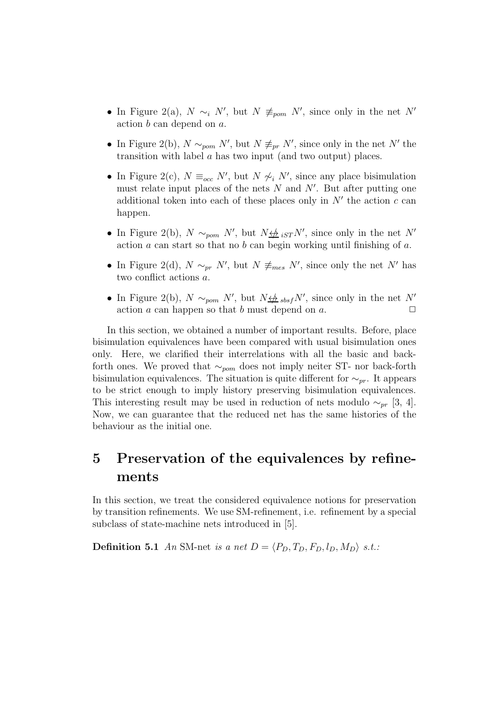- In Figure 2(a),  $N \sim_i N'$ , but  $N \neq_{\text{pom}} N'$ , since only in the net N' action b can depend on a.
- In Figure 2(b),  $N \sim_{\text{pom}} N'$ , but  $N \not\equiv_{\text{pr}} N'$ , since only in the net N' the transition with label a has two input (and two output) places.
- In Figure 2(c),  $N \equiv_{occ} N'$ , but  $N \nsim_i N'$ , since any place bisimulation must relate input places of the nets  $N$  and  $N'$ . But after putting one additional token into each of these places only in  $N'$  the action  $c$  can happen.
- In Figure 2(b),  $N \sim_{\text{pom}} N'$ , but  $N \nleftrightarrow_{\text{iST}} N'$ , since only in the net N' action  $a$  can start so that no  $b$  can begin working until finishing of  $a$ .
- In Figure 2(d),  $N \sim_{pr} N'$ , but  $N \neq_{mes} N'$ , since only the net N' has two conflict actions a.
- In Figure 2(b),  $N \sim_{\text{pom}} N'$ , but  $N \nleftrightarrow_{\text{obsf}} N'$ , since only in the net N' action a can happen so that b must depend on a.  $\Box$

In this section, we obtained a number of important results. Before, place bisimulation equivalences have been compared with usual bisimulation ones only. Here, we clarified their interrelations with all the basic and backforth ones. We proved that  $\sim_{\text{nom}}$  does not imply neiter ST- nor back-forth bisimulation equivalences. The situation is quite different for  $\sim_{pr}$ . It appears to be strict enough to imply history preserving bisimulation equivalences. This interesting result may be used in reduction of nets modulo  $\sim_{pr}$  [3, 4]. Now, we can guarantee that the reduced net has the same histories of the behaviour as the initial one.

# 5 Preservation of the equivalences by refinements

In this section, we treat the considered equivalence notions for preservation by transition refinements. We use SM-refinement, i.e. refinement by a special subclass of state-machine nets introduced in [5].

**Definition 5.1** An SM-net *is a net*  $D = \langle P_D, T_D, F_D, l_D, M_D \rangle$  *s.t.:*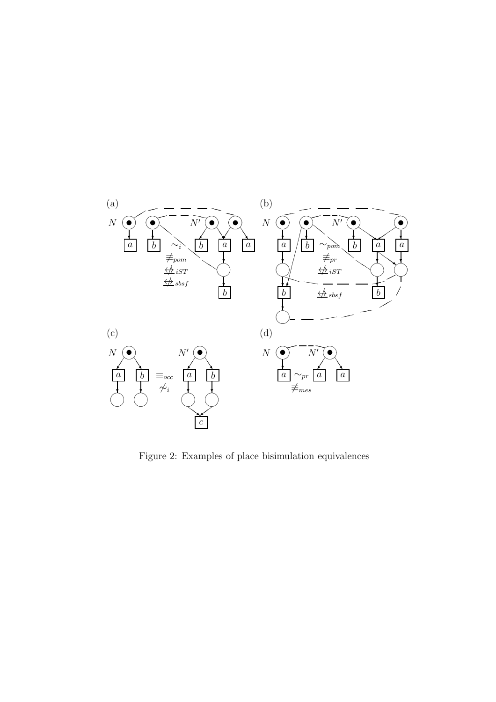

Figure 2: Examples of place bisimulation equivalences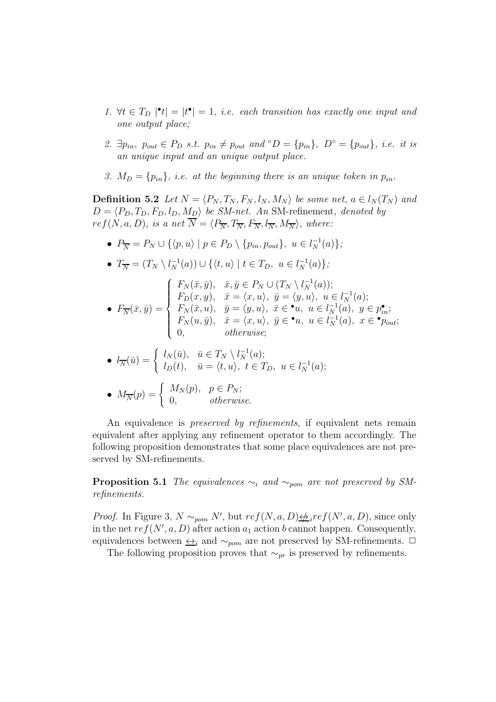- 1.  $\forall t \in T_D \, |\mathbf{t}| = |t^{\bullet}| = 1$ , *i.e.* each transition has exactly one input and *one output place;*
- 2.  $\exists p_{in}, p_{out} \in P_D \text{ s.t. } p_{in} \neq p_{out} \text{ and } \circ D = \{p_{in}\}, D^{\circ} = \{p_{out}\}, i.e. \text{ it is}$ *an unique input and an unique output place.*
- *3.*  $M_D = \{p_{in}\}\$ , *i.e.* at the beginning there is an unique token in  $p_{in}$ .

**Definition 5.2** *Let*  $N = \langle P_N, T_N, F_N, l_N, M_N \rangle$  *be some net,*  $a \in l_N(T_N)$  *and*  $D = \langle P_D, T_D, F_D, l_D, M_D \rangle$  *be SM-net. An* SM-refinement, *denoted by*  $ref(N, a, D),$  is a net  $\overline{N} = \langle P_{\overline{N}}, T_{\overline{N}}, F_{\overline{N}}, l_{\overline{N}}, M_{\overline{N}} \rangle$ , where:

•  $P_{\overline{N}} = P_N \cup \{ \langle p, u \rangle \mid p \in P_D \setminus \{ p_{in}, p_{out} \}, u \in l_N^{-1}(a) \};$ 

• 
$$
T_{\overline{N}} = (T_N \setminus l_N^{-1}(a)) \cup \{ \langle t, u \rangle \mid t \in T_D, u \in l_N^{-1}(a) \};
$$

$$
\bullet \ \ F_{\overline{N}}(\overline{x},\overline{y}) = \begin{cases} F_N(\overline{x},\overline{y}), & \overline{x},\overline{y} \in P_N \cup (T_N \setminus l_N^{-1}(a)); \\ F_D(x,y), & \overline{x} = \langle x,u \rangle, \ \overline{y} = \langle y,u \rangle, \ u \in l_N^{-1}(a); \\ F_N(\overline{x},u), & \overline{y} = \langle y,u \rangle, \ \overline{x} \in \bullet u, \ u \in l_N^{-1}(a), \ y \in p_n^{\bullet}; \\ F_N(u,\overline{y}), & \overline{x} = \langle x,u \rangle, \ \overline{y} \in \bullet u, \ u \in l_N^{-1}(a), \ x \in \bullet p_{out}; \\ 0, & \text{otherwise}; \end{cases}
$$

• 
$$
l_{\overline{N}}(\overline{u}) = \begin{cases} l_N(\overline{u}), & \overline{u} \in T_N \setminus l_N^{-1}(a); \\ l_D(t), & \overline{u} = \langle t, u \rangle, \ t \in T_D, \ u \in l_N^{-1}(a); \end{cases}
$$

• 
$$
M_{\overline{N}}(p) = \begin{cases} M_N(p), & p \in P_N; \\ 0, & otherwise. \end{cases}
$$

An equivalence is *preserved by refinements*, if equivalent nets remain equivalent after applying any refinement operator to them accordingly. The following proposition demonstrates that some place equivalences are not preserved by SM-refinements.

**Proposition 5.1** *The equivalences*  $\sim_i$  *and*  $\sim_{\text{pom}}$  *are not preserved by SMrefinements.*

*Proof.* In Figure 3,  $N \sim_{\text{pom}} N'$ , but  $ref(N, a, D) \neq ircf(N', a, D)$ , since only in the net  $ref(N', a, D)$  after action  $a_1$  action b cannot happen. Consequently, equivalences between  $\leftrightarrow$ <sub>i</sub> and  $\sim$ <sub>pom</sub> are not preserved by SM-refinements.  $\Box$ 

The following proposition proves that  $\sim_{pr}$  is preserved by refinements.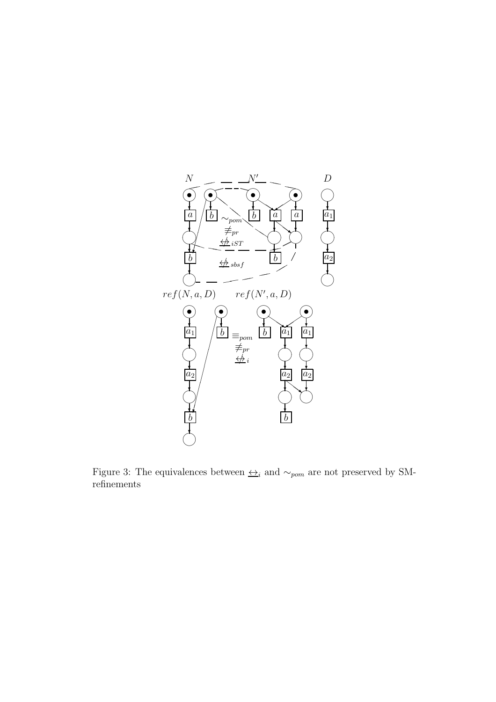

Figure 3: The equivalences between  $\triangleq_i$  and  $\sim_{pom}$  are not preserved by SMrefinements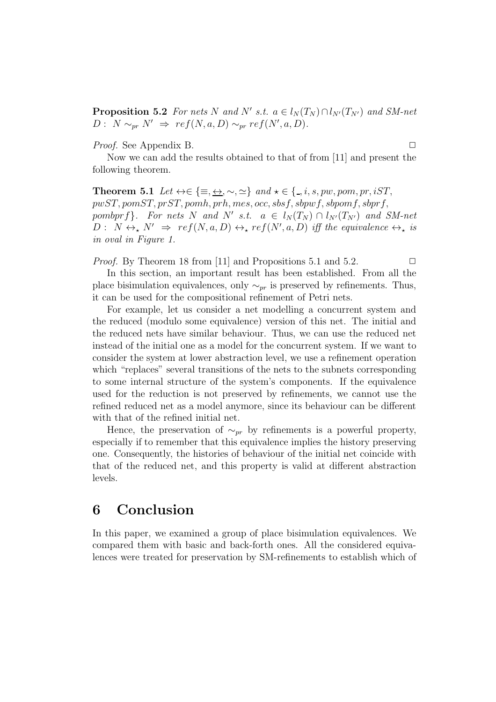**Proposition 5.2** *For nets* N and N' *s.t.*  $a \in l_N(T_N) \cap l_{N'}(T_{N'})$  and SM-net  $D: N \sim_{pr} N' \Rightarrow ref(N, a, D) \sim_{pr} ref(N', a, D).$ 

*Proof.* See Appendix B. ◯

Now we can add the results obtained to that of from [11] and present the following theorem.

**Theorem 5.1** *Let*  $\leftrightarrow \in \{\equiv, \leftrightarrow, \sim, \simeq\}$  *and*  $\star \in \{., i, s, pw, pom, pr, iST,$ pwST, pomST, prST, pomh, prh, mes, occ, sbsf, sbpwf, sbpomf, sbprf, pombprf}. For nets N and N' s.t.  $a \in l_N(T_N) \cap l_{N'}(T_{N'})$  and SM-net  $D: N \leftrightarrow_{\star} N' \Rightarrow ref(N, a, D) \leftrightarrow_{\star} ref(N', a, D)$  *iff the equivalence*  $\leftrightarrow_{\star}$  *is in oval in Figure 1.*

*Proof.* By Theorem 18 from [11] and Propositions 5.1 and 5.2.  $\Box$ 

In this section, an important result has been established. From all the place bisimulation equivalences, only  $\sim_{pr}$  is preserved by refinements. Thus, it can be used for the compositional refinement of Petri nets.

For example, let us consider a net modelling a concurrent system and the reduced (modulo some equivalence) version of this net. The initial and the reduced nets have similar behaviour. Thus, we can use the reduced net instead of the initial one as a model for the concurrent system. If we want to consider the system at lower abstraction level, we use a refinement operation which "replaces" several transitions of the nets to the subnets corresponding to some internal structure of the system's components. If the equivalence used for the reduction is not preserved by refinements, we cannot use the refined reduced net as a model anymore, since its behaviour can be different with that of the refined initial net.

Hence, the preservation of  $\sim_{pr}$  by refinements is a powerful property, especially if to remember that this equivalence implies the history preserving one. Consequently, the histories of behaviour of the initial net coincide with that of the reduced net, and this property is valid at different abstraction levels.

# 6 Conclusion

In this paper, we examined a group of place bisimulation equivalences. We compared them with basic and back-forth ones. All the considered equivalences were treated for preservation by SM-refinements to establish which of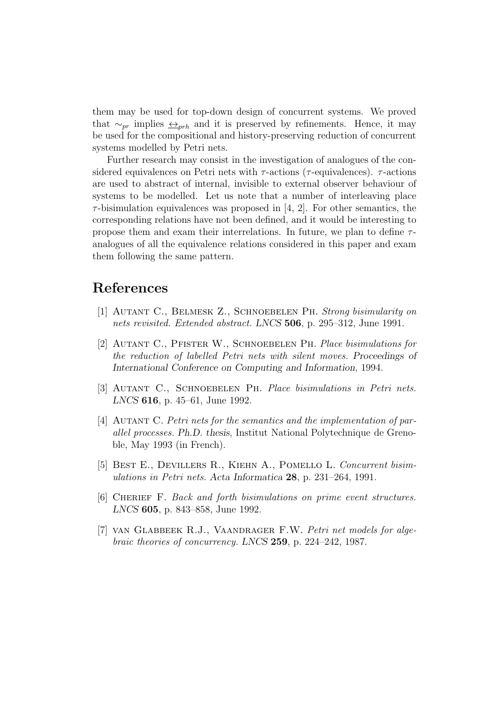them may be used for top-down design of concurrent systems. We proved that  $\sim_{pr}$  implies  $\leftrightarrow_{prh}$  and it is preserved by refinements. Hence, it may be used for the compositional and history-preserving reduction of concurrent systems modelled by Petri nets.

Further research may consist in the investigation of analogues of the considered equivalences on Petri nets with  $\tau$ -actions ( $\tau$ -equivalences).  $\tau$ -actions are used to abstract of internal, invisible to external observer behaviour of systems to be modelled. Let us note that a number of interleaving place  $\tau$ -bisimulation equivalences was proposed in [4, 2]. For other semantics, the corresponding relations have not been defined, and it would be interesting to propose them and exam their interrelations. In future, we plan to define  $\tau$ analogues of all the equivalence relations considered in this paper and exam them following the same pattern.

#### References

- [1] Autant C., Belmesk Z., Schnoebelen Ph. *Strong bisimularity on nets revisited. Extended abstract.* LNCS 506, p. 295–312, June 1991.
- [2] Autant C., Pfister W., Schnoebelen Ph. *Place bisimulations for the reduction of labelled Petri nets with silent moves.* Proceedings of International Conference on Computing and Information, 1994.
- [3] Autant C., Schnoebelen Ph. *Place bisimulations in Petri nets.* LNCS 616, p. 45–61, June 1992.
- [4] Autant C. *Petri nets for the semantics and the implementation of parallel processes.* Ph.D. thesis, Institut National Polytechnique de Grenoble, May 1993 (in French).
- [5] Best E., Devillers R., Kiehn A., Pomello L. *Concurrent bisimulations in Petri nets.* Acta Informatica 28, p. 231–264, 1991.
- [6] Cherief F. *Back and forth bisimulations on prime event structures.* LNCS 605, p. 843–858, June 1992.
- [7] van Glabbeek R.J., Vaandrager F.W. *Petri net models for algebraic theories of concurrency.* LNCS 259, p. 224–242, 1987.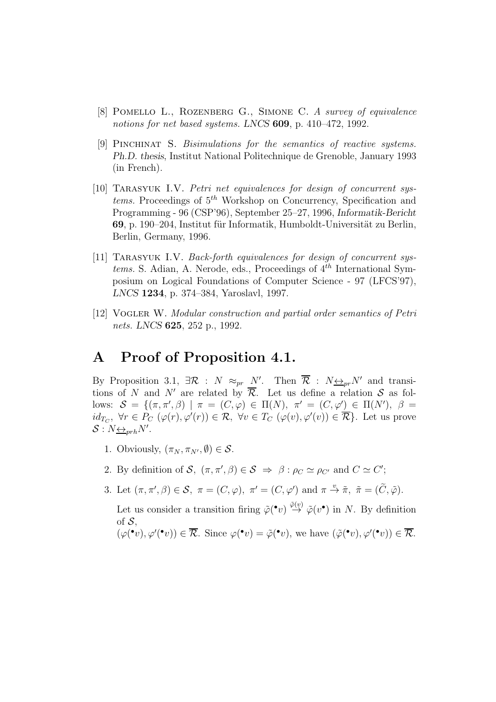- [8] Pomello L., Rozenberg G., Simone C. *A survey of equivalence notions for net based systems.* LNCS 609, p. 410–472, 1992.
- [9] Pinchinat S. *Bisimulations for the semantics of reactive systems.* Ph.D. thesis, Institut National Politechnique de Grenoble, January 1993 (in French).
- [10] TARASYUK I.V. *Petri net equivalences for design of concurrent systems.* Proceedings of  $5^{th}$  Workshop on Concurrency, Specification and Programming - 96 (CSP'96), September 25–27, 1996, Informatik-Bericht 69, p. 190–204, Institut für Informatik, Humboldt-Universität zu Berlin, Berlin, Germany, 1996.
- [11] TARASYUK I.V. *Back-forth equivalences for design of concurrent systems.* S. Adian, A. Nerode, eds., Proceedings of  $4^{th}$  International Symposium on Logical Foundations of Computer Science - 97 (LFCS'97), LNCS 1234, p. 374–384, Yaroslavl, 1997.
- [12] Vogler W. *Modular construction and partial order semantics of Petri nets.* LNCS 625, 252 p., 1992.

### A Proof of Proposition 4.1.

By Proposition 3.1,  $\exists \mathcal{R} : N \approx_{pr} N'$ . Then  $\overline{\mathcal{R}} : N \leftrightarrow_{pr} N'$  and transitions of N and N' are related by  $\overline{\mathcal{R}}$ . Let us define a relation S as follows:  $\mathcal{S} = \{(\pi, \pi', \beta) \mid \pi = (C, \varphi) \in \Pi(N), \pi' = (C, \varphi') \in \Pi(N'), \beta =$  $id_{T_C}$ ,  $\forall r \in P_C$   $(\varphi(r), \varphi'(r)) \in \mathcal{R}$ ,  $\forall v \in T_C$   $(\varphi(v), \varphi'(v)) \in \overline{\mathcal{R}}$ . Let us prove  $S: N \underline{\leftrightarrow}_{prh} N'$ .

- 1. Obviously,  $(\pi_N, \pi_{N'}, \emptyset) \in \mathcal{S}$ .
- 2. By definition of S,  $(\pi, \pi', \beta) \in S \implies \beta : \rho_C \simeq \rho_{C'}$  and  $C \simeq C'$ ;
- 3. Let  $(\pi, \pi', \beta) \in \mathcal{S}$ ,  $\pi = (C, \varphi)$ ,  $\pi' = (C, \varphi')$  and  $\pi \stackrel{v}{\to} \tilde{\pi}$ ,  $\tilde{\pi} = (\tilde{C}, \tilde{\varphi})$ .

Let us consider a transition firing  $\tilde{\varphi}(\cdot v) \stackrel{\tilde{\varphi}(v)}{\rightarrow} \tilde{\varphi}(v\cdot)$  in N. By definition of  $S$ .

 $(\varphi(\mathbf{e}^{\bullet}v), \varphi'(\mathbf{e}^{\bullet}v)) \in \overline{\mathcal{R}}$ . Since  $\varphi(\mathbf{e}^{\bullet}v) = \tilde{\varphi}(\mathbf{e}^{\bullet}v)$ , we have  $(\tilde{\varphi}(\mathbf{e}^{\bullet}v), \varphi'(\mathbf{e}^{\bullet}v)) \in \overline{\mathcal{R}}$ .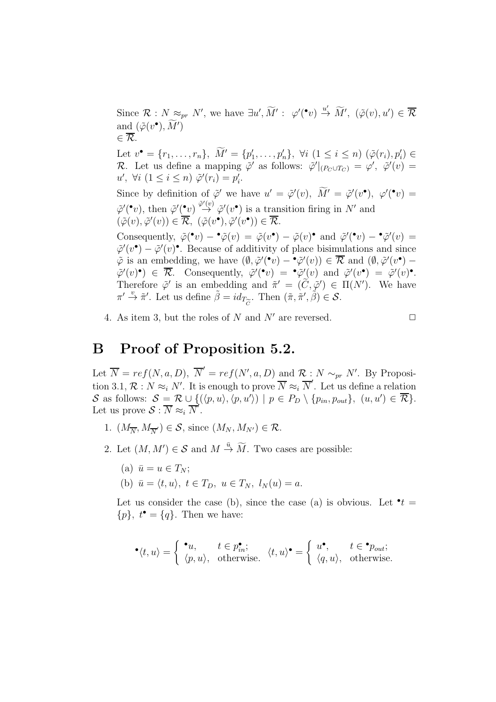Since  $\mathcal{R}: N \approx_{pr} N'$ , we have  $\exists u', \widetilde{M}' : \varphi'(\cdot v) \stackrel{u'}{\rightarrow} \widetilde{M}'$ ,  $(\tilde{\varphi}(v), u') \in \overline{\mathcal{R}}$ and  $(\tilde{\varphi}(v^{\bullet}), \tilde{M}')$  $\in \overline{\mathcal{R}}$ . Let  $v^{\bullet} = \{r_1, \ldots, r_n\}, \ \tilde{M}' = \{p'_1, \ldots, p'_n\}, \ \forall i \ (1 \leq i \leq n) \ (\tilde{\varphi}(r_i), p'_i) \in$ R. Let us define a mapping  $\tilde{\varphi}'$  as follows:  $\tilde{\varphi}'|_{(P_C \cup T_C)} = \varphi', \tilde{\varphi}'(v) =$  $u', \forall i \ (1 \leq i \leq n) \ \tilde{\varphi}'(r_i) = p'_i.$ Since by definition of  $\tilde{\varphi}'$  we have  $u' = \tilde{\varphi}'(v)$ ,  $\tilde{M}' = \tilde{\varphi}'(v^{\bullet})$ ,  $\varphi'(\bullet v) =$  $\tilde{\varphi}'(r)$ , then  $\tilde{\varphi}'(r) \stackrel{\tilde{\varphi}'(v)}{\rightarrow} \tilde{\varphi}'(v^{\bullet})$  is a transition firing in N' and  $(\tilde{\varphi}(v), \tilde{\varphi}'(v)) \in \overline{\mathcal{R}}, \ (\tilde{\varphi}(v^{\bullet}), \tilde{\varphi}'(v^{\bullet})) \in \overline{\mathcal{R}}.$ Consequently,  $\tilde{\varphi}(\mathbf{v}) - \mathbf{\tilde{\varphi}}(v) = \tilde{\varphi}(v) - \tilde{\varphi}(v) \mathbf{\tilde{\varphi}}(v)$  and  $\tilde{\varphi}'(\mathbf{v}) - \mathbf{\tilde{\varphi}}'(v) =$  $\tilde{\varphi}'(v^{\bullet}) - \tilde{\varphi}'(v)^{\bullet}$ . Because of additivity of place bisimulations and since  $\tilde{\varphi}$  is an embedding, we have  $(\emptyset, \tilde{\varphi}'({}^{\bullet}v) - {}^{\bullet}\tilde{\varphi}'(v)) \in \overline{\mathcal{R}}$  and  $(\emptyset, \tilde{\varphi}'(v^{\bullet}) \tilde{\varphi}'(v)$ <sup>•</sup>)  $\in \overline{\mathcal{R}}$ . Consequently,  $\tilde{\varphi}'(v) = \tilde{\varphi}'(v)$  and  $\tilde{\varphi}'(v) = \tilde{\varphi}'(v)$ <sup>•</sup>. Therefore  $\tilde{\varphi}'$  is an embedding and  $\tilde{\pi}' = (\tilde{C}, \tilde{\varphi}') \in \Pi(N')$ . We have  $\pi' \overset{v}{\rightarrow} \tilde{\pi}'$ . Let us define  $\tilde{\beta} = id_T$  $\overline{C}$ . Then  $(\tilde{\pi}, \tilde{\pi}', \tilde{\beta}) \in \mathcal{S}$ .

4. As item 3, but the roles of N and N' are reversed.  $\square$ 

### B Proof of Proposition 5.2.

Let  $\overline{N} = ref(N, a, D), \overline{N}' = ref(N', a, D)$  and  $\mathcal{R}: N \sim_{pr} N'.$  By Proposition 3.1,  $\mathcal{R}: N \approx_i N'$ . It is enough to prove  $\overline{N} \approx_i \overline{N}'$ . Let us define a relation S as follows:  $S = \mathcal{R} \cup \{(\langle p, u \rangle, \langle p, u' \rangle) \mid p \in P_D \setminus \{p_{in}, p_{out}\}, (u, u') \in \overline{\mathcal{R}}\}.$ Let us prove  $S: \overline{N} \approx_i \overline{N'}$ .

- 1.  $(M_{\overline{N}}, M_{\overline{N}'}) \in S$ , since  $(M_N, M_{N'}) \in \mathcal{R}$ .
- 2. Let  $(M, M') \in \mathcal{S}$  and  $M \stackrel{\bar{u}}{\rightarrow} \widetilde{M}$ . Two cases are possible:
	- (a)  $\bar{u} = u \in T_N$ ;
	- (b)  $\bar{u} = \langle t, u \rangle, t \in T_D, u \in T_N, l_N (u) = a.$

Let us consider the case (b), since the case (a) is obvious. Let  $\cdot t =$  $\{p\}, t^{\bullet} = \{q\}.$  Then we have:

$$
^{\bullet}\langle t,u\rangle = \begin{cases} ^{\bullet}u, & t \in p_{in}^{\bullet}; \\ \langle p,u\rangle, & \text{otherwise}. \end{cases} \langle t,u\rangle^{\bullet} = \begin{cases} u^{\bullet}, & t \in {}^{\bullet}p_{out}; \\ \langle q,u\rangle, & \text{otherwise}. \end{cases}
$$